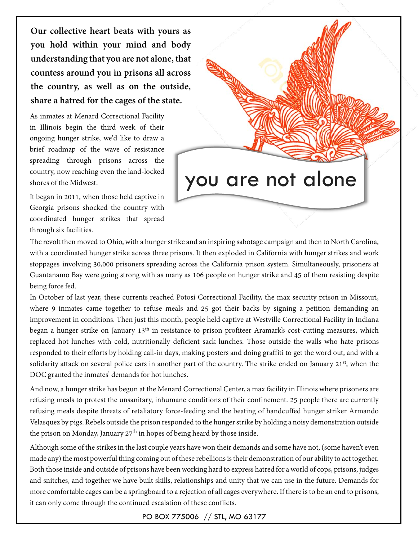**Our collective heart beats with yours as you hold within your mind and body understanding that you are not alone, that countess around you in prisons all across the country, as well as on the outside, share a hatred for the cages of the state.**

As inmates at Menard Correctional Facility in Illinois begin the third week of their ongoing hunger strike, we'd like to draw a brief roadmap of the wave of resistance spreading through prisons across the country, now reaching even the land-locked shores of the Midwest.

It began in 2011, when those held captive in Georgia prisons shocked the country with coordinated hunger strikes that spread through six facilities.



The revolt then moved to Ohio, with a hunger strike and an inspiring sabotage campaign and then to North Carolina, with a coordinated hunger strike across three prisons. It then exploded in California with hunger strikes and work stoppages involving 30,000 prisoners spreading across the California prison system. Simultaneously, prisoners at Guantanamo Bay were going strong with as many as 106 people on hunger strike and 45 of them resisting despite being force fed.

In October of last year, these currents reached Potosi Correctional Facility, the max security prison in Missouri, where 9 inmates came together to refuse meals and 25 got their backs by signing a petition demanding an improvement in conditions. Then just this month, people held captive at Westville Correctional Facility in Indiana began a hunger strike on January 13<sup>th</sup> in resistance to prison profiteer Aramark's cost-cutting measures, which replaced hot lunches with cold, nutritionally deficient sack lunches. Those outside the walls who hate prisons responded to their efforts by holding call-in days, making posters and doing graffiti to get the word out, and with a solidarity attack on several police cars in another part of the country. The strike ended on January 21<sup>st</sup>, when the DOC granted the inmates' demands for hot lunches.

And now, a hunger strike has begun at the Menard Correctional Center, a max facility in Illinois where prisoners are refusing meals to protest the unsanitary, inhumane conditions of their confinement. 25 people there are currently refusing meals despite threats of retaliatory force-feeding and the beating of handcuffed hunger striker Armando Velasquez by pigs. Rebels outside the prison responded to the hunger strike by holding a noisy demonstration outside the prison on Monday, January  $27<sup>th</sup>$  in hopes of being heard by those inside.

Although some of the strikes in thelast couple years have won their demands and some have not, (some haven't even made any) the most powerful thing coming out of these rebellions is their demonstration of our ability to act together. Both those inside and outside of prisons have been working hard to express hatred for a world of cops, prisons, judges and snitches, and together we have built skills, relationships and unity that we can use in the future. Demands for more comfortable cages can be a springboard to a rejection of all cages everywhere. If there is to be an end to prisons, it can only come through the continued escalation of these conflicts.

PO BOX 775006 // STL, MO 63177